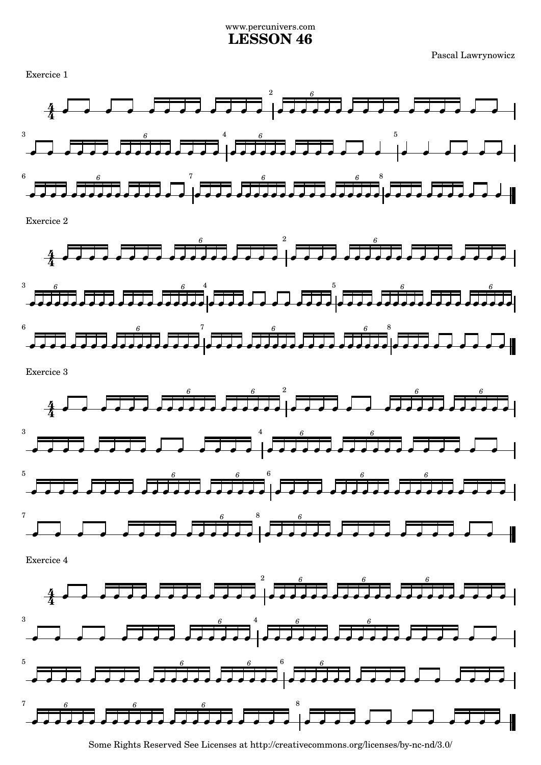## www.percunivers.com **LESSON 46**

Pascal Lawrynowicz



Some Rights Reserved See Licenses at http://creativecommons.org/licenses/by-nc-nd/3.0/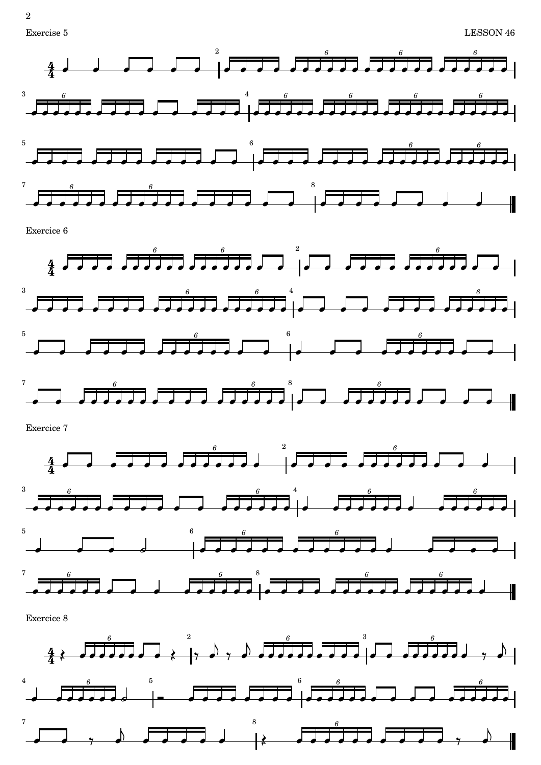